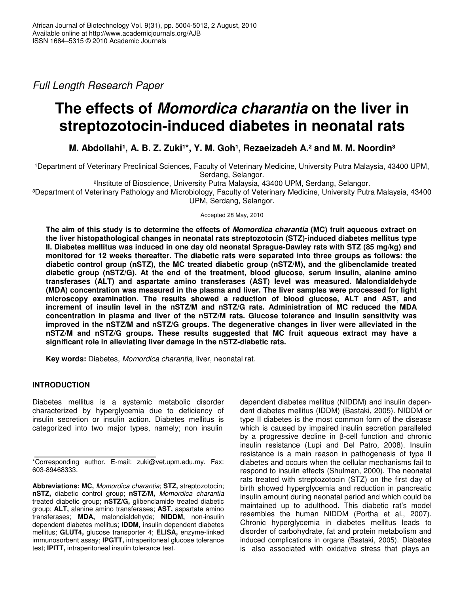*Full Length Research Paper*

# **The effects of** *Momordica charantia* **on the liver in streptozotocin-induced diabetes in neonatal rats**

**M. Abdollahi¹, A. B. Z. Zuki¹\*, Y. M. Goh¹, Rezaeizadeh A.² and M. M. Noordin³**

1Department of Veterinary Preclinical Sciences, Faculty of Veterinary Medicine, University Putra Malaysia, 43400 UPM, Serdang, Selangor.

²Institute of Bioscience, University Putra Malaysia, 43400 UPM, Serdang, Selangor.

³Department of Veterinary Pathology and Microbiology, Faculty of Veterinary Medicine, University Putra Malaysia, 43400 UPM, Serdang, Selangor.

Accepted 28 May, 2010

The aim of this study is to determine the effects of Momordica charantia (MC) fruit aqueous extract on **the liver histopathological changes in neonatal rats streptozotocin (STZ)-induced diabetes mellitus type II. Diabetes mellitus was induced in one day old neonatal Sprague-Dawley rats with STZ (85 mg/kg) and monitored for 12 weeks thereafter. The diabetic rats were separated into three groups as follows: the diabetic control group (nSTZ), the MC treated diabetic group (nSTZ/M), and the glibenclamide treated diabetic group (nSTZ/G). At the end of the treatment, blood glucose, serum insulin, alanine amino transferases (ALT) and aspartate amino transferases (AST) level was measured. Malondialdehyde (MDA) concentration was measured in the plasma and liver. The liver samples were processed for light microscopy examination. The results showed a reduction of blood glucose, ALT and AST, and increment of insulin level in the nSTZ/M and nSTZ/G rats. Administration of MC reduced the MDA concentration in plasma and liver of the nSTZ/M rats. Glucose tolerance and insulin sensitivity was improved in the nSTZ/M and nSTZ/G groups. The degenerative changes in liver were alleviated in the nSTZ/M and nSTZ/G groups. These results suggested that MC fruit aqueous extract may have a significant role in alleviating liver damage in the nSTZ-diabetic rats.**

**Key words:** Diabetes, *Momordica charantia*, liver, neonatal rat.

# **INTRODUCTION**

Diabetes mellitus is a systemic metabolic disorder characterized by hyperglycemia due to deficiency of insulin secretion or insulin action. Diabetes mellitus is categorized into two major types, namely; non insulin

dependent diabetes mellitus (NIDDM) and insulin dependent diabetes mellitus (IDDM) (Bastaki, 2005). NIDDM or type II diabetes is the most common form of the disease which is caused by impaired insulin secretion paralleled by a progressive decline in  $\beta$ -cell function and chronic insulin resistance (Lupi and Del Patro, 2008). Insulin resistance is a main reason in pathogenesis of type II diabetes and occurs when the cellular mechanisms fail to respond to insulin effects (Shulman, 2000). The neonatal rats treated with streptozotocin (STZ) on the first day of birth showed hyperglycemia and reduction in pancreatic insulin amount during neonatal period and which could be maintained up to adulthood. This diabetic rat's model resembles the human NIDDM (Portha et al., 2007). Chronic hyperglycemia in diabetes mellitus leads to disorder of carbohydrate, fat and protein metabolism and induced complications in organs (Bastaki, 2005). Diabetes is also associated with oxidative stress that plays an

<sup>\*</sup>Corresponding author. E-mail: zuki@vet.upm.edu.my. Fax: 603-89468333.

**Abbreviations: MC,** *Momordica charantia*; **STZ,** streptozotocin; **nSTZ,** diabetic control group; **nSTZ/M,** *Momordica charantia* treated diabetic group; **nSTZ/G,** glibenclamide treated diabetic group; **ALT,** alanine amino transferases; **AST,** aspartate amino transferases; **MDA,** malondialdehyde; **NIDDM,** non-insulin dependent diabetes mellitus; **IDDM,** insulin dependent diabetes mellitus; **GLUT4,** glucose transporter 4; **ELISA,** enzyme-linked immunosorbent assay; **IPGTT,** intraperitoneal glucose tolerance test; **IPITT,** intraperitoneal insulin tolerance test.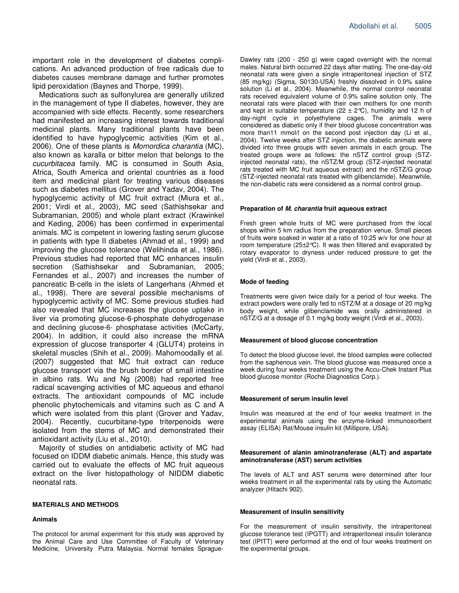important role in the development of diabetes complications. An advanced production of free radicals due to diabetes causes membrane damage and further promotes lipid peroxidation (Baynes and Thorpe, 1999).

Medications such as sulfonylurea are generally utilized in the management of type II diabetes, however, they are accompanied with side effects. Recently, some researchers had manifested an increasing interest towards traditional medicinal plants. Many traditional plants have been identified to have hypoglycemic activities (Kim et al., 2006). One of these plants is *Momordica charantia* (MC), also known as karalla or bitter melon that belongs to the *cucurbitacea* family. MC is consumed in South Asia, Africa, South America and oriental countries as a food item and medicinal plant for treating various diseases such as diabetes mellitus (Grover and Yadav, 2004). The hypoglycemic activity of MC fruit extract (Miura et al., 2001; Virdi et al., 2003), MC seed (Sathishsekar and Subramanian, 2005) and whole plant extract (Krawinkel and Keding, 2006) has been confirmed in experimental animals. MC is competent in lowering fasting serum glucose in patients with type II diabetes (Ahmad et al., 1999) and improving the glucose tolerance (Welihinda et al., 1986). Previous studies had reported that MC enhances insulin secretion (Sathishsekar and Subramanian, 2005; Fernandes et al., 2007) and increases the number of pancreatic B-cells in the islets of Langerhans (Ahmed et al., 1998). There are several possible mechanisms of hypoglycemic activity of MC. Some previous studies had also revealed that MC increases the glucose uptake in liver via promoting glucose-6-phosphate dehydrogenase and declining glucose-6- phosphatase activities (McCarty, 2004). In addition, it could also increase the mRNA expression of glucose transporter 4 (GLUT4) proteins in skeletal muscles (Shih et al., 2009). Mahomoodally et al. (2007) suggested that MC fruit extract can reduce glucose transport via the brush border of small intestine in albino rats. Wu and Ng (2008) had reported free radical scavenging activities of MC aqueous and ethanol extracts. The antioxidant compounds of MC include phenolic phytochemicals and vitamins such as C and A which were isolated from this plant (Grover and Yadav, 2004). Recently, cucurbitane-type triterpenoids were isolated from the stems of MC and demonstrated their antioxidant activity (Liu et al., 2010).

Majority of studies on antidiabetic activity of MC had focused on IDDM diabetic animals. Hence, this study was carried out to evaluate the effects of MC fruit aqueous extract on the liver histopathology of NIDDM diabetic neonatal rats.

#### **MATERIALS AND METHODS**

#### **Animals**

The protocol for animal experiment for this study was approved by the Animal Care and Use Committee of Faculty of Veterinary Medicine, University Putra Malaysia. Normal females Sprague-

Dawley rats (200 - 250 g) were caged overnight with the normal males. Natural birth occurred 22 days after mating. The one-day-old neonatal rats were given a single intraperitoneal injection of STZ (85 mg/kg) (Sigma, S0130-USA) freshly dissolved in 0.9% saline solution (Li et al., 2004). Meanwhile, the normal control neonatal rats received equivalent volume of 0.9% saline solution only. The neonatal rats were placed with their own mothers for one month and kept in suitable temperature (22  $\pm$  2°C), humidity and 12 h of day-night cycle in polyethylene cages. The animals were considered as diabetic only if their blood glucose concentration was more than11 mmol/l on the second post injection day (Li et al., 2004). Twelve weeks after STZ injection, the diabetic animals were divided into three groups with seven animals in each group. The treated groups were as follows: the nSTZ control group (STZinjected neonatal rats), the nSTZ/M group (STZ-injected neonatal rats treated with MC fruit aqueous extract) and the nSTZ/G group (STZ-injected neonatal rats treated with glibenclamide). Meanwhile, the non-diabetic rats were considered as a normal control group.

#### **Preparation of** *M. charantia* **fruit aqueous extract**

Fresh green whole fruits of MC were purchased from the local shops within 5 km radius from the preparation venue. Small pieces of fruits were soaked in water at a ratio of 10:25 w/v for one hour at room temperature (25±2°C). It was then filtered and evaporated by rotary evaporator to dryness under reduced pressure to get the yield (Virdi et al., 2003).

#### **Mode of feeding**

Treatments were given twice daily for a period of four weeks. The extract powders were orally fed to nSTZ/M at a dosage of 20 mg/kg body weight, while glibenclamide was orally administered in nSTZ/G at a dosage of 0.1 mg/kg body weight (Virdi et al., 2003).

#### **Measurement of blood glucose concentration**

To detect the blood glucose level, the blood samples were collected from the saphenous vein. The blood glucose was measured once a week during four weeks treatment using the Accu-Chek Instant Plus blood glucose monitor (Roche Diagnostics Corp.).

#### **Measurement of serum insulin level**

Insulin was measured at the end of four weeks treatment in the experimental animals using the enzyme-linked immunosorbent assay (ELISA) Rat/Mouse insulin kit (Millipore, USA).

#### **Measurement of alanin aminotransferase (ALT) and aspartate aminotransferase (AST) serum activities**

The levels of ALT and AST serums were determined after four weeks treatment in all the experimental rats by using the Automatic analyzer (Hitachi 902).

#### **Measurement of insulin sensitivity**

For the measurement of insulin sensitivity, the intraperitoneal glucose tolerance test (IPGTT) and intraperitoneal insulin tolerance test (IPITT) were performed at the end of four weeks treatment on the experimental groups.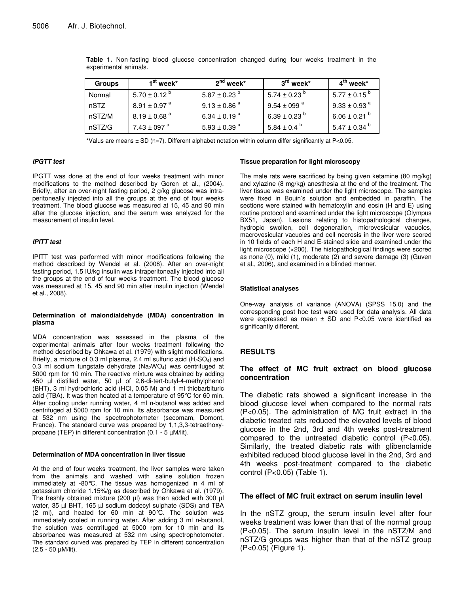| <b>Groups</b> | $1st$ week*                  | $2^{\text{nd}}$ week*        | $3^{\mathsf{rd}}$ week*     | $4^{\text{th}}$ week*        |
|---------------|------------------------------|------------------------------|-----------------------------|------------------------------|
| Normal        | $5.70 \pm 0.12$ <sup>b</sup> | $5.87 \pm 0.23$ <sup>b</sup> | 5.74 $\pm$ 0.23 $^{\circ}$  | $5.77 \pm 0.15^{\circ}$      |
| nSTZ          | $8.91 \pm 0.97$ <sup>a</sup> | $9.13 \pm 0.86$ <sup>a</sup> | $9.54 \pm 099$ <sup>a</sup> | $9.33 \pm 0.93$ <sup>a</sup> |
| nSTZ/M        | $8.19 \pm 0.68$ <sup>a</sup> | 6.34 ± 0.19 $^{\rm b}$       | 6.39 ± 0.23 <sup>b</sup>    | $6.06 \pm 0.21$ b            |
| nSTZ/G        | $7.43 \pm 097$ <sup>a</sup>  | $5.93 \pm 0.39$ <sup>b</sup> | 5.84 $\pm$ 0.4 $^{\circ}$   | $5.47 \pm 0.34$ $^{\circ}$   |

**Table 1.** Non-fasting blood glucose concentration changed during four weeks treatment in the experimental animals.

\*Valus are means ± SD (n=7). Different alphabet notation within column differ significantly at P<0.05.

#### *IPGTT test*

IPGTT was done at the end of four weeks treatment with minor modifications to the method described by Goren et al., (2004). Briefly, after an over-night fasting period, 2 g/kg glucose was intraperitoneally injected into all the groups at the end of four weeks treatment. The blood glucose was measured at 15, 45 and 90 min after the glucose injection, and the serum was analyzed for the measurement of insulin level.

#### *IPITT test*

IPITT test was performed with minor modifications following the method described by Wendel et al. (2008). After an over-night fasting period, 1.5 IU/kg insulin was intraperitoneally injected into all the groups at the end of four weeks treatment. The blood glucose was measured at 15, 45 and 90 min after insulin injection (Wendel et al., 2008).

#### **Determination of malondialdehyde (MDA) concentration in plasma**

MDA concentration was assessed in the plasma of the experimental animals after four weeks treatment following the method described by Ohkawa et al*.* (1979) with slight modifications. Briefly, a mixture of 0.3 ml plasma, 2.4 ml sulfuric acid  $(H_2SO_4)$  and 0.3 ml sodium tungstate dehydrate ( $Na<sub>2</sub>WO<sub>4</sub>$ ) was centrifuged at 5000 rpm for 10 min. The reactive mixture was obtained by adding 450 µl distilled water, 50 µl of 2,6-di-tert-butyl-4-methylphenol (BHT), 3 ml hydrochloric acid (HCl, 0.05 M) and 1 ml thiobarbituric acid (TBA). It was then heated at a temperature of 95°C for 60 min. After cooling under running water, 4 ml n-butanol was added and centrifuged at 5000 rpm for 10 min. Its absorbance was measured at 532 nm using the spectrophotometer (secomam, Domont, France). The standard curve was prepared by 1,1,3,3-tetraethoxypropane (TEP) in different concentration (0.1 - 5 µM/lit).

#### **Determination of MDA concentration in liver tissue**

At the end of four weeks treatment, the liver samples were taken from the animals and washed with saline solution frozen immediately at -80°C. The tissue was homogenized in 4 ml of potassium chloride 1.15%/g as described by Ohkawa et al. (1979). The freshly obtained mixture (200 µl) was then added with 300 µl water, 35 µl BHT, 165 µl sodium dodecyl sulphate (SDS) and TBA (2 ml), and heated for 60 min at 90°C. The solution was immediately cooled in running water. After adding 3 ml n-butanol, the solution was centrifuged at 5000 rpm for 10 min and its absorbance was measured at 532 nm using spectrophotometer. The standard curved was prepared by TEP in different concentration (2.5 - 50 µM/lit).

#### **Tissue preparation for light microscopy**

The male rats were sacrificed by being given ketamine (80 mg/kg) and xylazine (8 mg/kg) anesthesia at the end of the treatment. The liver tissue was examined under the light microscope. The samples were fixed in Bouin's solution and embedded in paraffin. The sections were stained with hematoxylin and eosin (H and E) using routine protocol and examined under the light microscope (Olympus BX51, Japan). Lesions relating to histopathological changes, hydropic swollen, cell degeneration, microvesicular vacuoles, macrovesicular vacuoles and cell necrosis in the liver were scored in 10 fields of each H and E-stained slide and examined under the light microscope (×200). The histopathological findings were scored as none (0), mild (1), moderate (2) and severe damage (3) (Guven et al., 2006), and examined in a blinded manner.

#### **Statistical analyses**

One-way analysis of variance (ANOVA) (SPSS 15.0) and the corresponding post hoc test were used for data analysis. All data were expressed as mean  $\pm$  SD and P<0.05 were identified as significantly different.

## **RESULTS**

## **The effect of MC fruit extract on blood glucose concentration**

The diabetic rats showed a significant increase in the blood glucose level when compared to the normal rats (P<0.05). The administration of MC fruit extract in the diabetic treated rats reduced the elevated levels of blood glucose in the 2nd, 3rd and 4th weeks post-treatment compared to the untreated diabetic control (P<0.05). Similarly, the treated diabetic rats with glibenclamide exhibited reduced blood glucose level in the 2nd, 3rd and 4th weeks post-treatment compared to the diabetic control (P<0.05) (Table 1).

## **The effect of MC fruit extract on serum insulin level**

In the nSTZ group, the serum insulin level after four weeks treatment was lower than that of the normal group (P<0.05). The serum insulin level in the nSTZ/M and nSTZ/G groups was higher than that of the nSTZ group (P<0.05) (Figure 1).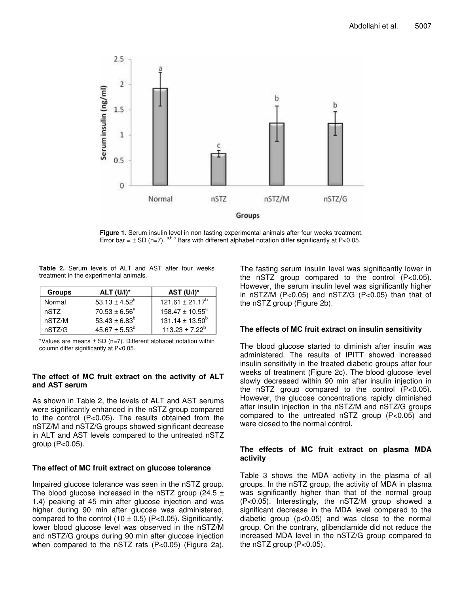

**Figure 1.** Serum insulin level in non-fasting experimental animals after four weeks treatment. Error bar =  $\pm$  SD (n=7). <sup>a,b,c</sup> Bars with different alphabet notation differ significantly at P<0.05.

**Table 2.** Serum levels of ALT and AST after four weeks treatment in the experimental animals.

| <b>Groups</b> | $ALT (U/I)^*$                 | AST $(U/I)^*$        |
|---------------|-------------------------------|----------------------|
| Normal        | 53.13 $\pm$ 4.52 <sup>b</sup> | $121.61 \pm 21.17^b$ |
| nSTZ          | $70.53 \pm 6.56^{\circ}$      | $158.47 \pm 10.55^a$ |
| nSTZ/M        | 53.43 ± $6.83^b$              | $131.14 \pm 13.50^b$ |
| nSTZ/G        | $45.67 \pm 5.53^b$            | $113.23 \pm 7.22^b$  |

\*Values are means  $\pm$  SD (n=7). Different alphabet notation within column differ significantly at P<0.05.

# **The effect of MC fruit extract on the activity of ALT and AST serum**

As shown in Table 2, the levels of ALT and AST serums were significantly enhanced in the nSTZ group compared to the control (P<0.05). The results obtained from the nSTZ/M and nSTZ/G groups showed significant decrease in ALT and AST levels compared to the untreated nSTZ group (P<0.05).

# **The effect of MC fruit extract on glucose tolerance**

Impaired glucose tolerance was seen in the nSTZ group. The blood glucose increased in the nSTZ group (24.5  $\pm$ 1.4) peaking at 45 min after glucose injection and was higher during 90 min after glucose was administered, compared to the control  $(10 \pm 0.5)$  (P<0.05). Significantly, lower blood glucose level was observed in the nSTZ/M and nSTZ/G groups during 90 min after glucose injection when compared to the nSTZ rats (P<0.05) (Figure 2a). The fasting serum insulin level was significantly lower in the nSTZ group compared to the control (P<0.05). However, the serum insulin level was significantly higher in nSTZ/M (P<0.05) and nSTZ/G (P<0.05) than that of the nSTZ group (Figure 2b).

# **The effects of MC fruit extract on insulin sensitivity**

The blood glucose started to diminish after insulin was administered. The results of IPITT showed increased insulin sensitivity in the treated diabetic groups after four weeks of treatment (Figure 2c). The blood glucose level slowly decreased within 90 min after insulin injection in the nSTZ group compared to the control (P<0.05). However, the glucose concentrations rapidly diminished after insulin injection in the nSTZ/M and nSTZ/G groups compared to the untreated nSTZ group (P<0.05) and were closed to the normal control.

# **The effects of MC fruit extract on plasma MDA activity**

Table 3 shows the MDA activity in the plasma of all groups. In the nSTZ group, the activity of MDA in plasma was significantly higher than that of the normal group (P<0.05). Interestingly, the nSTZ/M group showed a significant decrease in the MDA level compared to the diabetic group (p<0.05) and was close to the normal group. On the contrary, glibenclamide did not reduce the increased MDA level in the nSTZ/G group compared to the nSTZ group  $(P<0.05)$ .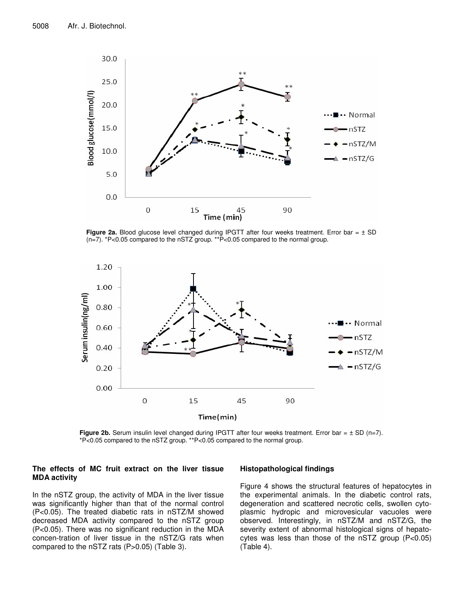

**Figure 2a.** Blood glucose level changed during IPGTT after four weeks treatment. Error bar = ± SD (n=7). \*P<0.05 compared to the nSTZ group. \*\*P<0.05 compared to the normal group.



**Figure 2b.** Serum insulin level changed during IPGTT after four weeks treatment. Error bar =  $\pm$  SD (n=7). \*P<0.05 compared to the nSTZ group. \*\*P<0.05 compared to the normal group.

## **The effects of MC fruit extract on the liver tissue MDA activity**

In the nSTZ group, the activity of MDA in the liver tissue was significantly higher than that of the normal control (P<0.05). The treated diabetic rats in nSTZ/M showed decreased MDA activity compared to the nSTZ group (P<0.05). There was no significant reduction in the MDA concen-tration of liver tissue in the nSTZ/G rats when compared to the nSTZ rats (P>0.05) (Table 3).

## **Histopathological findings**

Figure 4 shows the structural features of hepatocytes in the experimental animals. In the diabetic control rats, degeneration and scattered necrotic cells, swollen cytoplasmic hydropic and microvesicular vacuoles were observed. Interestingly, in nSTZ/M and nSTZ/G, the severity extent of abnormal histological signs of hepatocytes was less than those of the nSTZ group (P<0.05) (Table 4).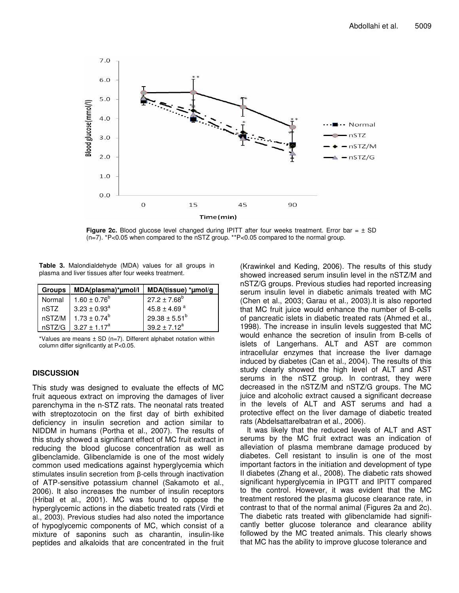

**Figure 2c.** Blood glucose level changed during IPITT after four weeks treatment. Error bar = ± SD (n=7). \*P<0.05 when compared to the nSTZ group. \*\*P<0.05 compared to the normal group.

**Table 3.** Malondialdehyde (MDA) values for all groups in plasma and liver tissues after four weeks treatment.

| <b>Groups</b> | MDA(plasma)*µmol/l | MDA(tissue) *umol/g |
|---------------|--------------------|---------------------|
| Normal        | $1.60 \pm 0.76^b$  | $27.2 \pm 7.68^b$   |
| nSTZ          | $3.23 \pm 0.93^a$  | 45.8 ± 4.69 $a$     |
| nSTZ/M        | $1.73 \pm 0.74^b$  | $29.38 \pm 5.51^b$  |
| nSTZ/G        | $3.27 + 1.17^a$    | $39.2 + 7.12^a$     |

\*Values are means  $\pm$  SD (n=7). Different alphabet notation within column differ significantly at P<0.05.

## **DISCUSSION**

This study was designed to evaluate the effects of MC fruit aqueous extract on improving the damages of liver parenchyma in the n-STZ rats. The neonatal rats treated with streptozotocin on the first day of birth exhibited deficiency in insulin secretion and action similar to NIDDM in humans (Portha et al., 2007). The results of this study showed a significant effect of MC fruit extract in reducing the blood glucose concentration as well as glibenclamide. Glibenclamide is one of the most widely common used medications against hyperglycemia which stimulates insulin secretion from  $\beta$ -cells through inactivation of ATP-sensitive potassium channel (Sakamoto et al., 2006). It also increases the number of insulin receptors (Hribal et al., 2001). MC was found to oppose the hyperglycemic actions in the diabetic treated rats (Virdi et al., 2003). Previous studies had also noted the importance of hypoglycemic components of MC, which consist of a mixture of saponins such as charantin, insulin-like peptides and alkaloids that are concentrated in the fruit

(Krawinkel and Keding, 2006). The results of this study showed increased serum insulin level in the nSTZ/M and nSTZ/G groups. Previous studies had reported increasing serum insulin level in diabetic animals treated with MC (Chen et al., 2003; Garau et al.*,* 2003).It is also reported that MC fruit juice would enhance the number of B-cells of pancreatic islets in diabetic treated rats (Ahmed et al., 1998). The increase in insulin levels suggested that MC would enhance the secretion of insulin from B-cells of islets of Langerhans. ALT and AST are common intracellular enzymes that increase the liver damage induced by diabetes (Can et al., 2004). The results of this study clearly showed the high level of ALT and AST serums in the nSTZ group. In contrast, they were decreased in the nSTZ/M and nSTZ/G groups. The MC juice and alcoholic extract caused a significant decrease in the levels of ALT and AST serums and had a protective effect on the liver damage of diabetic treated rats (Abdelsattarelbatran et al., 2006).

It was likely that the reduced levels of ALT and AST serums by the MC fruit extract was an indication of alleviation of plasma membrane damage produced by diabetes. Cell resistant to insulin is one of the most important factors in the initiation and development of type II diabetes (Zhang et al., 2008). The diabetic rats showed significant hyperglycemia in IPGTT and IPITT compared to the control. However, it was evident that the MC treatment restored the plasma glucose clearance rate, in contrast to that of the normal animal (Figures 2a and 2c). The diabetic rats treated with glibenclamide had significantly better glucose tolerance and clearance ability followed by the MC treated animals. This clearly shows that MC has the ability to improve glucose tolerance and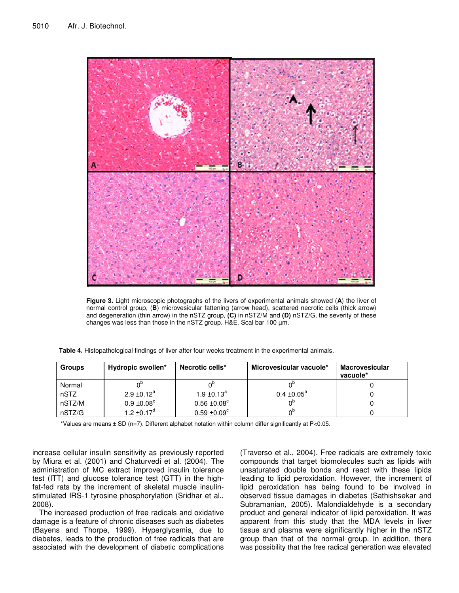

**Figure 3.** Light microscopic photographs of the livers of experimental animals showed (**A**) the liver of normal control group, (**B**) microvesicular fattening (arrow head), scattered necrotic cells (thick arrow) and degeneration (thin arrow) in the nSTZ group, **(C)** in nSTZ/M and **(D)** nSTZ/G, the severity of these changes was less than those in the nSTZ group. H&E. Scal bar 100 µm.

| <b>Groups</b> | Hydropic swollen*           | Necrotic cells*              | Microvesicular vacuole*   | <b>Macrovesicular</b><br>vacuole* |
|---------------|-----------------------------|------------------------------|---------------------------|-----------------------------------|
| Normal        |                             |                              |                           |                                   |
| nSTZ          | $2.9 \pm 0.12^a$            | 1.9 $\pm$ 0.13 <sup>a</sup>  | $0.4 \pm 0.05^{\text{a}}$ |                                   |
| nSTZ/M        | $0.9 \pm 0.08$ <sup>c</sup> | $0.56 \pm 0.08$ <sup>c</sup> | 0η                        |                                   |
| nSTZ/G        | 1.2 $\pm$ 0.17 <sup>d</sup> | $0.59 \pm 0.09^{\circ}$      | ∩¤                        |                                   |

**Table 4.** Histopathological findings of liver after four weeks treatment in the experimental animals.

\*Values are means ± SD (n=7). Different alphabet notation within column differ significantly at P<0.05.

increase cellular insulin sensitivity as previously reported by Miura et al. (2001) and Chaturvedi et al. (2004). The administration of MC extract improved insulin tolerance test (ITT) and glucose tolerance test (GTT) in the highfat-fed rats by the increment of skeletal muscle insulinstimulated IRS-1 tyrosine phosphorylation (Sridhar et al., 2008).

The increased production of free radicals and oxidative damage is a feature of chronic diseases such as diabetes (Bayens and Thorpe, 1999). Hyperglycemia, due to diabetes, leads to the production of free radicals that are associated with the development of diabetic complications

(Traverso et al., 2004). Free radicals are extremely toxic compounds that target biomolecules such as lipids with unsaturated double bonds and react with these lipids leading to lipid peroxidation. However, the increment of lipid peroxidation has being found to be involved in observed tissue damages in diabetes (Sathishsekar and Subramanian, 2005). Malondialdehyde is a secondary product and general indicator of lipid peroxidation. It was apparent from this study that the MDA levels in liver tissue and plasma were significantly higher in the nSTZ group than that of the normal group. In addition, there was possibility that the free radical generation was elevated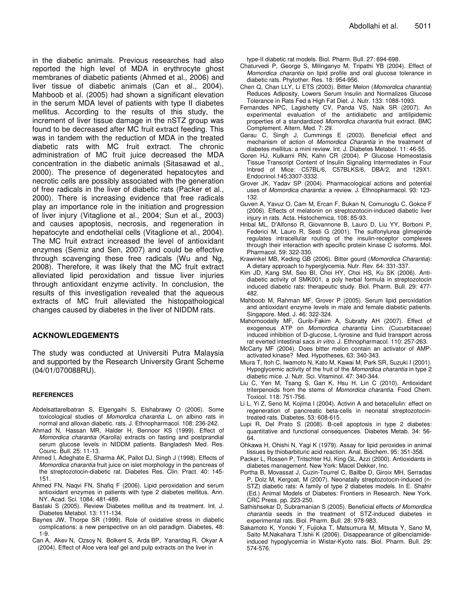in the diabetic animals. Previous researches had also reported the high level of MDA in erythrocyte ghost membranes of diabetic patients (Ahmed et al., 2006) and liver tissue of diabetic animals (Can et al., 2004). Mahboob et al. (2005) had shown a significant elevation in the serum MDA level of patients with type II diabetes mellitus. According to the results of this study, the increment of liver tissue damage in the nSTZ group was found to be decreased after MC fruit extract feeding. This was in tandem with the reduction of MDA in the treated diabetic rats with MC fruit extract. The chronic administration of MC fruit juice decreased the MDA concentration in the diabetic animals (Sitasawad et al., 2000). The presence of degenerated hepatocytes and necrotic cells are possibly associated with the generation of free radicals in the liver of diabetic rats (Packer et al., 2000). There is increasing evidence that free radicals play an importance role in the initiation and progression of liver injury (Vitaglione et al., 2004; Sun et al., 2003) and causes apoptosis, necrosis, and regeneration in hepatocyte and endothelial cells (Vitaglione et al., 2004). The MC fruit extract increased the level of antioxidant enzymes (Semiz and Sen, 2007) and could be effective through scavenging these free radicals (Wu and Ng, 2008). Therefore, it was likely that the MC fruit extract alleviated lipid peroxidation and tissue liver injuries through antioxidant enzyme activity. In conclusion, the results of this investigation revealed that the aqueous extracts of MC fruit alleviated the histopathological changes caused by diabetes in the liver of NIDDM rats.

## **ACKNOWLEDGEMENTS**

The study was conducted at Universiti Putra Malaysia and supported by the Research University Grant Scheme (04/01/070088RU).

#### **REFERENCES**

- Abdelsattarelbatran S, Elgengaihi S, Elshabrawy O (2006). Some toxicological studies of *Momordica charantia* L. on albino rats in normal and alloxan diabetic. rats. J. Ethnopharmacol. 108: 236-242.
- Ahmad N, Hassan MR, Halder H, Bennoor KS (1999). Effect of *Momordica charantia* (Karolla) extracts on fasting and postprandial serum glucose levels in NIDDM patients. Bangladesh Med. Res. Counc. Bull. 25: 11-13.
- Ahmed I, Adeghate E, Sharma AK, Pallot DJ, Singh J (1998). Effects of *Momordica charantia* fruit juice on islet morphology in the pancreas of the streptozotocin-diabetic rat. Diabetes Res. Clin. Pract. 40: 145- 151.
- Ahmed FN, Naqvi FN, Shafiq F (2006). Lipid peroxidation and serum antioxidant enzymes in patients with type 2 diabetes mellitus. Ann. NY. Acad. Sci. 1084: 481-489.
- Bastaki S (2005). Review Diabetes mellitus and its treatment. Int. J. Diabetes Metabol. 13: 111-134.
- Baynes JW, Thorpe SR (1999). Role of oxidative stress in diabetic complications: a new perspective on an old paradigm. Diabetes, 48: 1-9.
- Can A, Akev N, Ozsoy N, Bolkent S, Arda BP, Yanardag R, Okyar A (2004). Effect of Aloe vera leaf gel and pulp extracts on the liver in

type-II diabetic rat models. Biol. Pharm. Bull*.* 27: 694-698.

- Chaturvedi P, George S, Milinganyo M, Tripathi YB (2004). Effect of *Momordica charantia* on lipid profile and oral glucose tolerance in diabetic rats. Phytother. Res. 18: 954-956.
- Chen Q, Chan LLY, Li ETS (2003). Bitter Melon (*Momordica charantia*) Reduces Adiposity, Lowers Serum Insulin and Normalizes Glucose Tolerance in Rats Fed a High Fat Diet. J. Nutr. 133: 1088-1093.
- Fernandes NPC, Lagishetty CV, Panda VS, Naik SR (2007). An experimental evaluation of the antidiabetic and antilipidemic properties of a standardized *Momordica charantia* fruit extract. BMC Complement. Altern. Med. 7: 29.
- Garau C, Singh J, Cummings E (2003). Beneficial effect and mechanism of action of *Momordica Charantia* in the treatment of diabetes mellitus: a mini review. Int. J. Diabetes Metabol. 11: 46-55.
- Goren HJ, Kulkarni RN, Kahn CR (2004). P Glucose Homeostasis Tissue Transcript Content of Insulin Signaling Intermediates in Four Inbred of Mice: C57BL/6, C57BLKS/6, DBA/2, and 129X1. Endocrinol.145:3307-3332.
- Grover JK, Yadav SP (2004). Pharmacological actions and potential uses of *Momordica charantia*: a review. J. Ethnopharmacol. 93: 123- 132.
- Guven A, Yavuz O, Cam M, Ercan F, Bukan N, Comunoglu C, Gokce F (2006). Effects of melatonin on streptozotocin-induced diabetic liver injury in rats. Acta. Histochemica, 108: 85-93.
- Hribal ML, D'Alfonso R, Giovannone B, Lauro D, Liu YY, Borboni P, Federici M, Lauro R, Sesti G (2001). The sulfonylurea glimepiride regulates intracellular routing of the insulin-receptor complexes through their interaction with specific protein kinase C isoforms. Mol. Pharmacol. 59: 322-330.
- Krawinkel MB, Keding GB (2006). Bitter gourd (*Momordica Charantia*): A dietary approach to hyperglycemia. Nutr. Rev. 64: 331-337.
- Kim JD, Kang SM, Seo BI, Choi HY, Choi HS, Ku SK (2006). Antidiabetic activity of SMK001, a poly herbal formula in streptozotocin induced diabetic rats: therapeutic study. Biol. Pharm. Bull. 29: 477- 482.
- Mahboob M, Rahman MF, Grover P (2005). Serum lipid peroxidation and antioxidant enzyme levels in male and female diabetic patients. Singapore. Med. J. 46: 322-324.
- Mahomoodally MF, Gurib-Fakim A, Subratty AH (2007). Effect of exogenous ATP on *Momordica charantia* Linn. (Cucurbitaceae) induced inhibition of D-glucose, L-tyrosine and fluid transport across rat everted intestinal sacs *in vitro*. J. Ethnopharmacol. 110: 257-263.
- McCarty MF (2004). Does bitter melon contain an activator of AMPactivated kinase? Med. Hypotheses, 63: 340-343.
- Miura T, Itoh C, Iwamoto N, Kato M, Kawai M, Park SR, Suzuki I (2001). Hypoglycemic activity of the fruit of the *Momordica charantia* in type 2 diabetic mice. J. Nutr. Sci. Vitaminol. 47: 340-344.
- Liu C, Yen M, Tsang S, Gan K, Hsu H, Lin C (2010). Antioxidant triterpenoids from the stems of *Momordica charantia*. Food Chem. Toxicol. 118: 751-756.
- Li L, Yi Z, Seno M, Kojima I (2004). Activin A and betacellulin: effect on regeneration of pancreatic beta-cells in neonatal streptozotocintreated rats. Diabetes, 53: 608-615.
- Lupi R, Del Prato S (2008). B-cell apoptosis in type 2 diabetes: quantitative and functional consequences. Diabetes Metab. 34: 56- 64.
- Ohkawa H, Ohishi N, Yagi K (1979). Assay for lipid peroxides in animal tissues by thiobarbituric acid reaction. Anal. Biochem. 95: 351-358.
- Packer L, Rossen P, Tritschter HJ, King GL, Azzi (2000). Antioxidants in diabetes management. New York: Macel Dekker, Inc.
- Portha B, Movassat J, Cuzin-Tourrel C, Bailbe D, Giroix MH, Serradas P, Dolz M, Kergoat, M (2007). Neonatally streptozotocin-induced (n-STZ) diabetic rats: A family of type 2 diabetes models. In E. Shafrir (Ed.) Animal Models of Diabetes: Frontiers in Research. New York. CRC Press. pp. 223-250.
- Sathishsekar D, Subramanian S (2005). Beneficial effects *of Momordica charantia* seeds in the treatment of STZ-induced diabetes in experimental rats. Biol. Pharm. Bull. 28: 978-983.
- Sakamoto K, Yonoki Y, Fujioka T, Matsumura M, Mitsuta Y, Sano M, Saito M, Nakahara T, Ishii K (2006). Disappearance of glibenclamideinduced hypoglycemia in Wistar-Kyoto rats. Biol. Pharm. Bull. 29: 574-576.